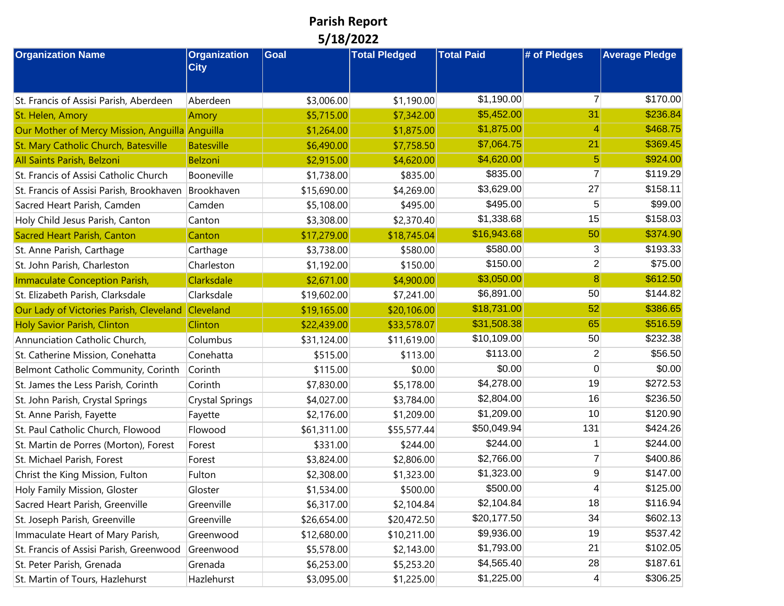## **Parish Report 5/18/2022**

| <b>Organization Name</b>                       | <b>Organization</b>    | <b>Goal</b> | <b>Total Pledged</b> | <b>Total Paid</b> | # of Pledges            | <b>Average Pledge</b> |
|------------------------------------------------|------------------------|-------------|----------------------|-------------------|-------------------------|-----------------------|
|                                                | <b>City</b>            |             |                      |                   |                         |                       |
|                                                |                        |             |                      | \$1,190.00        | $\overline{7}$          | \$170.00              |
| St. Francis of Assisi Parish, Aberdeen         | Aberdeen               | \$3,006.00  | \$1,190.00           |                   | 31                      | \$236.84              |
| St. Helen, Amory                               | Amory                  | \$5,715.00  | \$7,342.00           | \$5,452.00        |                         |                       |
| Our Mother of Mercy Mission, Anguilla Anguilla |                        | \$1,264.00  | \$1,875.00           | \$1,875.00        | 4                       | \$468.75              |
| St. Mary Catholic Church, Batesville           | <b>Batesville</b>      | \$6,490.00  | \$7,758.50           | \$7,064.75        | 21                      | \$369.45              |
| All Saints Parish, Belzoni                     | <b>Belzoni</b>         | \$2,915.00  | \$4,620.00           | \$4,620.00        | 5                       | \$924.00              |
| St. Francis of Assisi Catholic Church          | Booneville             | \$1,738.00  | \$835.00             | \$835.00          | $\overline{7}$          | \$119.29              |
| St. Francis of Assisi Parish, Brookhaven       | Brookhaven             | \$15,690.00 | \$4,269.00           | \$3,629.00        | 27                      | \$158.11              |
| Sacred Heart Parish, Camden                    | Camden                 | \$5,108.00  | \$495.00             | \$495.00          | 5                       | \$99.00               |
| Holy Child Jesus Parish, Canton                | Canton                 | \$3,308.00  | \$2,370.40           | \$1,338.68        | 15                      | \$158.03              |
| Sacred Heart Parish, Canton                    | Canton                 | \$17,279.00 | \$18,745.04          | \$16,943.68       | 50                      | \$374.90              |
| St. Anne Parish, Carthage                      | Carthage               | \$3,738.00  | \$580.00             | \$580.00          | 3                       | \$193.33              |
| St. John Parish, Charleston                    | Charleston             | \$1,192.00  | \$150.00             | \$150.00          | $\overline{\mathbf{c}}$ | \$75.00               |
| Immaculate Conception Parish,                  | Clarksdale             | \$2,671.00  | \$4,900.00           | \$3,050.00        | 8                       | \$612.50              |
| St. Elizabeth Parish, Clarksdale               | Clarksdale             | \$19,602.00 | \$7,241.00           | \$6,891.00        | 50                      | \$144.82              |
| Our Lady of Victories Parish, Cleveland        | Cleveland              | \$19,165.00 | \$20,106.00          | \$18,731.00       | 52                      | \$386.65              |
| <b>Holy Savior Parish, Clinton</b>             | Clinton                | \$22,439.00 | \$33,578.07          | \$31,508.38       | 65                      | \$516.59              |
| Annunciation Catholic Church,                  | Columbus               | \$31,124.00 | \$11,619.00          | \$10,109.00       | 50                      | \$232.38              |
| St. Catherine Mission, Conehatta               | Conehatta              | \$515.00    | \$113.00             | \$113.00          | $\overline{2}$          | \$56.50               |
| Belmont Catholic Community, Corinth            | Corinth                | \$115.00    | \$0.00               | \$0.00            | 0                       | \$0.00                |
| St. James the Less Parish, Corinth             | Corinth                | \$7,830.00  | \$5,178.00           | \$4,278.00        | 19                      | \$272.53              |
| St. John Parish, Crystal Springs               | <b>Crystal Springs</b> | \$4,027.00  | \$3,784.00           | \$2,804.00        | 16                      | \$236.50              |
| St. Anne Parish, Fayette                       | Fayette                | \$2,176.00  | \$1,209.00           | \$1,209.00        | 10                      | \$120.90              |
| St. Paul Catholic Church, Flowood              | Flowood                | \$61,311.00 | \$55,577.44          | \$50,049.94       | 131                     | \$424.26              |
| St. Martin de Porres (Morton), Forest          | Forest                 | \$331.00    | \$244.00             | \$244.00          |                         | \$244.00              |
| St. Michael Parish, Forest                     | Forest                 | \$3,824.00  | \$2,806.00           | \$2,766.00        | 7                       | \$400.86              |
| Christ the King Mission, Fulton                | Fulton                 | \$2,308.00  | \$1,323.00           | \$1,323.00        | 9                       | \$147.00              |
| Holy Family Mission, Gloster                   | Gloster                | \$1,534.00  | \$500.00             | \$500.00          | 4                       | \$125.00              |
| Sacred Heart Parish, Greenville                | Greenville             | \$6,317.00  | \$2,104.84           | \$2,104.84        | 18                      | \$116.94              |
| St. Joseph Parish, Greenville                  | Greenville             | \$26,654.00 | \$20,472.50          | \$20,177.50       | 34                      | \$602.13              |
| Immaculate Heart of Mary Parish,               | Greenwood              | \$12,680.00 | \$10,211.00          | \$9,936.00        | 19                      | \$537.42              |
| St. Francis of Assisi Parish, Greenwood        | Greenwood              | \$5,578.00  | \$2,143.00           | \$1,793.00        | 21                      | \$102.05              |
| St. Peter Parish, Grenada                      | Grenada                | \$6,253.00  | \$5,253.20           | \$4,565.40        | 28                      | \$187.61              |
| St. Martin of Tours, Hazlehurst                | Hazlehurst             | \$3,095.00  | \$1,225.00           | \$1,225.00        | $\overline{4}$          | \$306.25              |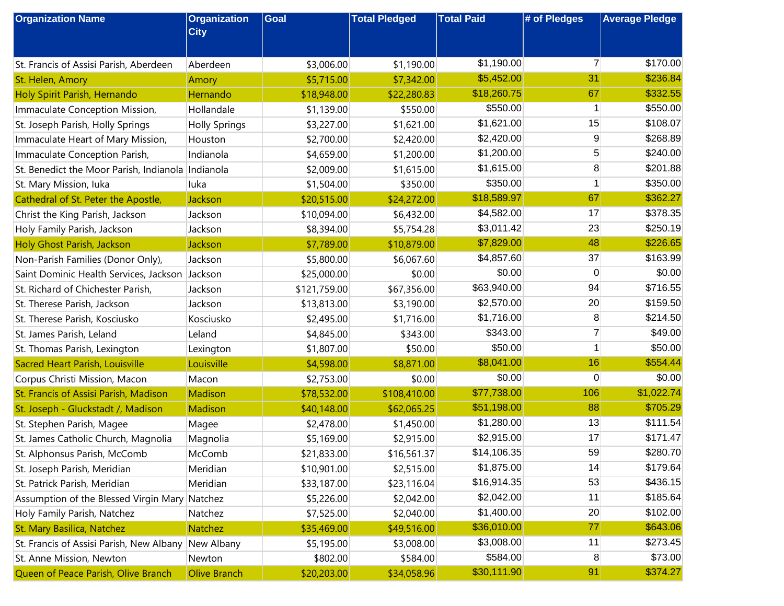| <b>Organization Name</b>                          | <b>Organization</b><br><b>City</b> | Goal         | <b>Total Pledged</b> | <b>Total Paid</b> | # of Pledges   | <b>Average Pledge</b> |
|---------------------------------------------------|------------------------------------|--------------|----------------------|-------------------|----------------|-----------------------|
|                                                   |                                    |              |                      |                   |                |                       |
| St. Francis of Assisi Parish, Aberdeen            | Aberdeen                           | \$3,006.00   | \$1,190.00           | \$1,190.00        | $\overline{7}$ | \$170.00              |
| St. Helen, Amory                                  | Amory                              | \$5,715.00   | \$7,342.00           | \$5,452.00        | 31             | \$236.84              |
| Holy Spirit Parish, Hernando                      | Hernando                           | \$18,948.00  | \$22,280.83          | \$18,260.75       | 67             | \$332.55              |
| Immaculate Conception Mission,                    | Hollandale                         | \$1,139.00   | \$550.00             | \$550.00          | 1              | \$550.00              |
| St. Joseph Parish, Holly Springs                  | <b>Holly Springs</b>               | \$3,227.00   | \$1,621.00           | \$1,621.00        | 15             | \$108.07              |
| Immaculate Heart of Mary Mission,                 | Houston                            | \$2,700.00   | \$2,420.00           | \$2,420.00        | 9              | \$268.89              |
| Immaculate Conception Parish,                     | Indianola                          | \$4,659.00   | \$1,200.00           | \$1,200.00        | 5              | \$240.00              |
| St. Benedict the Moor Parish, Indianola Indianola |                                    | \$2,009.00   | \$1,615.00           | \$1,615.00        | 8              | \$201.88              |
| St. Mary Mission, luka                            | luka                               | \$1,504.00   | \$350.00             | \$350.00          | 1              | \$350.00              |
| Cathedral of St. Peter the Apostle,               | Jackson                            | \$20,515.00  | \$24,272.00          | \$18,589.97       | 67             | \$362.27              |
| Christ the King Parish, Jackson                   | Jackson                            | \$10,094.00  | \$6,432.00           | \$4,582.00        | 17             | \$378.35              |
| Holy Family Parish, Jackson                       | Jackson                            | \$8,394.00   | \$5,754.28           | \$3,011.42        | 23             | \$250.19              |
| Holy Ghost Parish, Jackson                        | Jackson                            | \$7,789.00   | \$10,879.00          | \$7,829.00        | 48             | \$226.65              |
| Non-Parish Families (Donor Only),                 | Jackson                            | \$5,800.00   | \$6,067.60           | \$4,857.60        | 37             | \$163.99              |
| Saint Dominic Health Services, Jackson            | Jackson                            | \$25,000.00  | \$0.00               | \$0.00            | 0              | \$0.00                |
| St. Richard of Chichester Parish,                 | Jackson                            | \$121,759.00 | \$67,356.00          | \$63,940.00       | 94             | \$716.55              |
| St. Therese Parish, Jackson                       | Jackson                            | \$13,813.00  | \$3,190.00           | \$2,570.00        | 20             | \$159.50              |
| St. Therese Parish, Kosciusko                     | Kosciusko                          | \$2,495.00   | \$1,716.00           | \$1,716.00        | 8              | \$214.50              |
| St. James Parish, Leland                          | Leland                             | \$4,845.00   | \$343.00             | \$343.00          | 7              | \$49.00               |
| St. Thomas Parish, Lexington                      | Lexington                          | \$1,807.00   | \$50.00              | \$50.00           | 1              | \$50.00               |
| Sacred Heart Parish, Louisville                   | Louisville                         | \$4,598.00   | \$8,871.00           | \$8,041.00        | 16             | \$554.44              |
| Corpus Christi Mission, Macon                     | Macon                              | \$2,753.00   | \$0.00               | \$0.00            | 0              | \$0.00                |
| St. Francis of Assisi Parish, Madison             | Madison                            | \$78,532.00  | \$108,410.00         | \$77,738.00       | 106            | \$1,022.74            |
| St. Joseph - Gluckstadt /, Madison                | <b>Madison</b>                     | \$40,148.00  | \$62,065.25          | \$51,198.00       | 88             | \$705.29              |
| St. Stephen Parish, Magee                         | Magee                              | \$2,478.00   | \$1,450.00           | \$1,280.00        | 13             | \$111.54              |
| St. James Catholic Church, Magnolia               | Magnolia                           | \$5,169.00   | \$2,915.00           | \$2,915.00        | 17             | \$171.47              |
| St. Alphonsus Parish, McComb                      | McComb                             | \$21,833.00  | \$16,561.37          | \$14,106.35       | 59             | \$280.70              |
| St. Joseph Parish, Meridian                       | Meridian                           | \$10,901.00  | \$2,515.00           | \$1,875.00        | 14             | \$179.64              |
| St. Patrick Parish, Meridian                      | Meridian                           | \$33,187.00  | \$23,116.04          | \$16,914.35       | 53             | \$436.15              |
| Assumption of the Blessed Virgin Mary Natchez     |                                    | \$5,226.00   | \$2,042.00           | \$2,042.00        | 11             | \$185.64              |
| Holy Family Parish, Natchez                       | Natchez                            | \$7,525.00   | \$2,040.00           | \$1,400.00        | 20             | \$102.00              |
| St. Mary Basilica, Natchez                        | Natchez                            | \$35,469.00  | \$49,516.00          | \$36,010.00       | 77             | \$643.06              |
| St. Francis of Assisi Parish, New Albany          | New Albany                         | \$5,195.00   | \$3,008.00           | \$3,008.00        | 11             | \$273.45              |
| St. Anne Mission, Newton                          | Newton                             | \$802.00     | \$584.00             | \$584.00          | 8              | \$73.00               |
| Queen of Peace Parish, Olive Branch               | <b>Olive Branch</b>                | \$20,203.00  | \$34,058.96          | \$30,111.90       | 91             | \$374.27              |